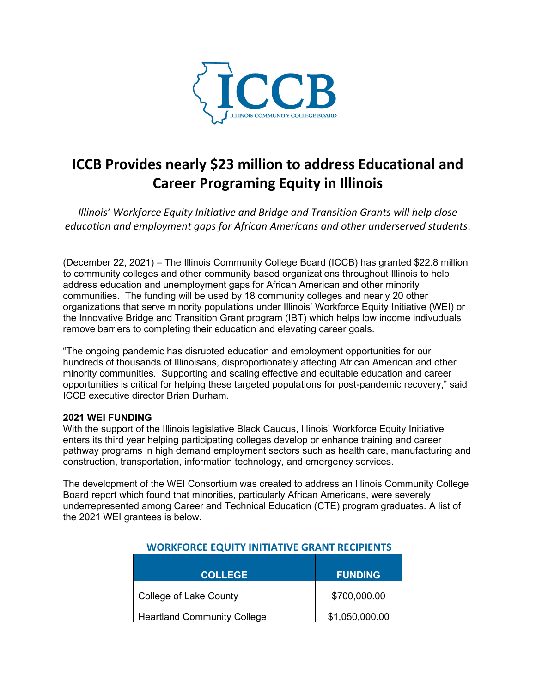

# **ICCB Provides nearly \$23 million to address Educational and Career Programing Equity in Illinois**

*Illinois' Workforce Equity Initiative and Bridge and Transition Grants will help close education and employment gaps for African Americans and other underserved students*.

(December 22, 2021) – The Illinois Community College Board (ICCB) has granted \$22.8 million to community colleges and other community based organizations throughout Illinois to help address education and unemployment gaps for African American and other minority communities. The funding will be used by 18 community colleges and nearly 20 other organizations that serve minority populations under Illinois' Workforce Equity Initiative (WEI) or the Innovative Bridge and Transition Grant program (IBT) which helps low income indivuduals remove barriers to completing their education and elevating career goals.

"The ongoing pandemic has disrupted education and employment opportunities for our hundreds of thousands of Illinoisans, disproportionately affecting African American and other minority communities. Supporting and scaling effective and equitable education and career opportunities is critical for helping these targeted populations for post-pandemic recovery," said ICCB executive director Brian Durham.

#### **2021 WEI FUNDING**

With the support of the Illinois legislative Black Caucus, Illinois' Workforce Equity Initiative enters its third year helping participating colleges develop or enhance training and career pathway programs in high demand employment sectors such as health care, manufacturing and construction, transportation, information technology, and emergency services.

The development of the WEI Consortium was created to address an Illinois Community College Board report which found that minorities, particularly African Americans, were severely underrepresented among Career and Technical Education (CTE) program graduates. A list of the 2021 WEI grantees is below.

| <b>COLLEGE</b>                     | <b>FUNDING</b> |
|------------------------------------|----------------|
| College of Lake County             | \$700,000.00   |
| <b>Heartland Community College</b> | \$1,050,000.00 |

## **WORKFORCE EQUITY INITIATIVE GRANT RECIPIENTS**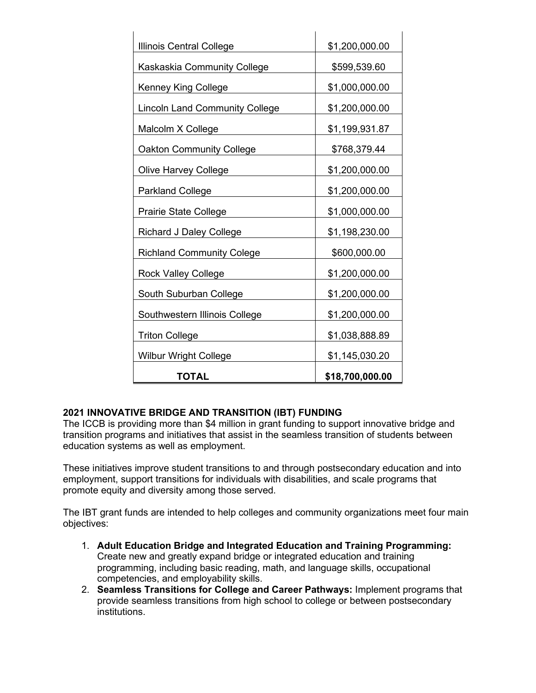| <b>Illinois Central College</b>       | \$1,200,000.00  |
|---------------------------------------|-----------------|
| Kaskaskia Community College           | \$599,539.60    |
| <b>Kenney King College</b>            | \$1,000,000.00  |
| <b>Lincoln Land Community College</b> | \$1,200,000.00  |
| Malcolm X College                     | \$1,199,931.87  |
| <b>Oakton Community College</b>       | \$768,379.44    |
| <b>Olive Harvey College</b>           | \$1,200,000.00  |
| <b>Parkland College</b>               | \$1,200,000.00  |
| <b>Prairie State College</b>          | \$1,000,000.00  |
| <b>Richard J Daley College</b>        | \$1,198,230.00  |
| <b>Richland Community Colege</b>      | \$600,000.00    |
| <b>Rock Valley College</b>            | \$1,200,000.00  |
| South Suburban College                | \$1,200,000.00  |
| Southwestern Illinois College         | \$1,200,000.00  |
| <b>Triton College</b>                 | \$1,038,888.89  |
| <b>Wilbur Wright College</b>          | \$1,145,030.20  |
| <b>TOTAL</b>                          | \$18,700,000.00 |

## **2021 INNOVATIVE BRIDGE AND TRANSITION (IBT) FUNDING**

The ICCB is providing more than \$4 million in grant funding to support innovative bridge and transition programs and initiatives that assist in the seamless transition of students between education systems as well as employment.

These initiatives improve student transitions to and through postsecondary education and into employment, support transitions for individuals with disabilities, and scale programs that promote equity and diversity among those served.

The IBT grant funds are intended to help colleges and community organizations meet four main objectives:

- 1. **Adult Education Bridge and Integrated Education and Training Programming:**  Create new and greatly expand bridge or integrated education and training programming, including basic reading, math, and language skills, occupational competencies, and employability skills.
- 2. **Seamless Transitions for College and Career Pathways:** Implement programs that provide seamless transitions from high school to college or between postsecondary institutions.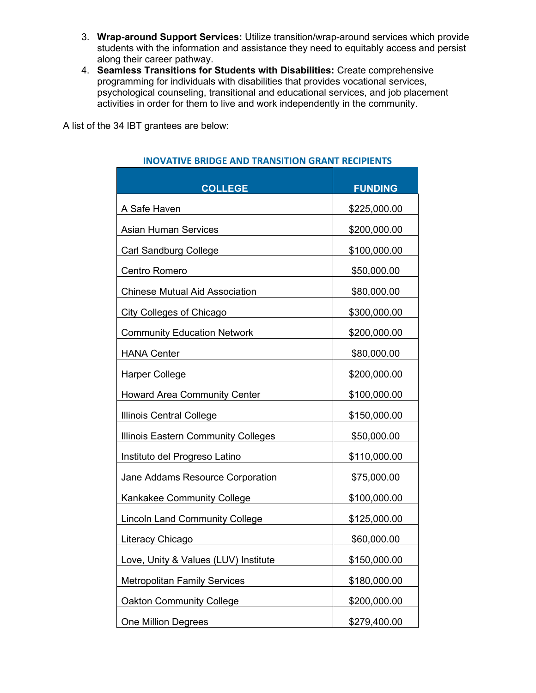- 3. **Wrap-around Support Services:** Utilize transition/wrap-around services which provide students with the information and assistance they need to equitably access and persist along their career pathway.
- 4. **Seamless Transitions for Students with Disabilities:** Create comprehensive programming for individuals with disabilities that provides vocational services, psychological counseling, transitional and educational services, and job placement activities in order for them to live and work independently in the community.

A list of the 34 IBT grantees are below:

| <b>COLLEGE</b>                             | <b>FUNDING</b> |
|--------------------------------------------|----------------|
| A Safe Haven                               | \$225,000.00   |
| <b>Asian Human Services</b>                | \$200,000.00   |
| <b>Carl Sandburg College</b>               | \$100,000.00   |
| Centro Romero                              | \$50,000.00    |
| <b>Chinese Mutual Aid Association</b>      | \$80,000.00    |
| City Colleges of Chicago                   | \$300,000.00   |
| <b>Community Education Network</b>         | \$200,000.00   |
| <b>HANA Center</b>                         | \$80,000.00    |
| <b>Harper College</b>                      | \$200,000.00   |
| <b>Howard Area Community Center</b>        | \$100,000.00   |
| Illinois Central College                   | \$150,000.00   |
| <b>Illinois Eastern Community Colleges</b> | \$50,000.00    |
| Instituto del Progreso Latino              | \$110,000.00   |
| Jane Addams Resource Corporation           | \$75,000.00    |
| Kankakee Community College                 | \$100,000.00   |
| <b>Lincoln Land Community College</b>      | \$125,000.00   |
| Literacy Chicago                           | \$60,000.00    |
| Love, Unity & Values (LUV) Institute       | \$150,000.00   |
| <b>Metropolitan Family Services</b>        | \$180,000.00   |
| <b>Oakton Community College</b>            | \$200,000.00   |
| <b>One Million Degrees</b>                 | \$279,400.00   |

### **INOVATIVE BRIDGE AND TRANSITION GRANT RECIPIENTS**